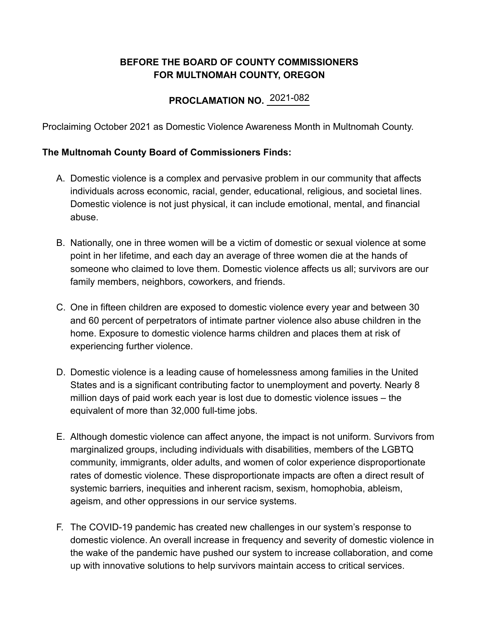## **BEFORE THE BOARD OF COUNTY COMMISSIONERS FOR MULTNOMAH COUNTY, OREGON**

## **PROCLAMATION NO.** 2021-082

Proclaiming October 2021 as Domestic Violence Awareness Month in Multnomah County.

## **The Multnomah County Board of Commissioners Finds:**

- A. Domestic violence is a complex and pervasive problem in our community that affects individuals across economic, racial, gender, educational, religious, and societal lines. Domestic violence is not just physical, it can include emotional, mental, and financial abuse.
- B. Nationally, one in three women will be a victim of domestic or sexual violence at some point in her lifetime, and each day an average of [three women](https://nnedv.org/resources-library/domestic-violence-sexual-assault-factsheet/) die at the hands of someone who claimed to love them. Domestic violence affects us all; survivors are our family members, neighbors, coworkers, and friends.
- C. One in fifteen children are exposed to domestic violence every year and between 30 and 60 percent of perpetrators of intimate partner violence also abuse children in the home. Exposure to domestic violence harms children and places them at risk of experiencing further violence.
- D. Domestic violence is a leading cause of homelessness among families in the United States and is a significant contributing factor to unemployment and poverty. Nearly 8 million days of paid work each year is lost due to domestic violence issues – the equivalent of more than 32,000 full-time jobs.
- E. Although domestic violence can affect anyone, the impact is not uniform. Survivors from marginalized groups, including individuals with disabilities, members of the LGBTQ community, immigrants, older adults, and women of color experience disproportionate rates of domestic violence. These disproportionate impacts are often a direct result of systemic barriers, inequities and inherent racism, sexism, homophobia, ableism, ageism, and other oppressions in our service systems.
- F. The COVID-19 pandemic has created new challenges in our system's response to domestic violence. An overall increase in frequency and severity of domestic violence in the wake of the pandemic have pushed our system to increase collaboration, and come up with innovative solutions to help survivors maintain access to critical services.